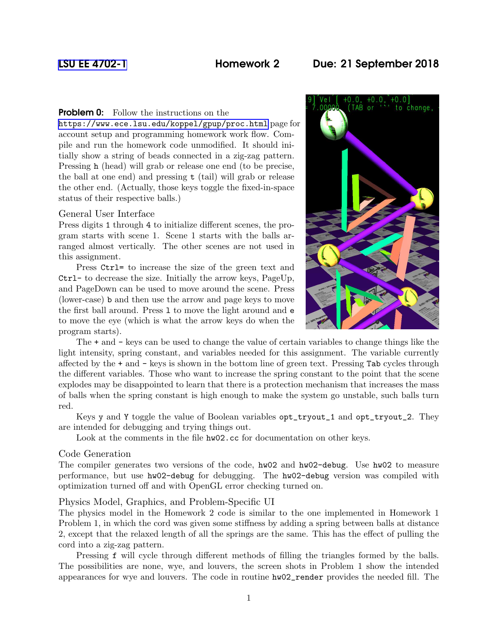# [LSU EE 4702-1](https://www.ece.lsu.edu/koppel/gpup/) Homework 2 Due: 21 September 2018

## **Problem 0:** Follow the instructions on the

<https://www.ece.lsu.edu/koppel/gpup/proc.html> page for account setup and programming homework work flow. Compile and run the homework code unmodified. It should initially show a string of beads connected in a zig-zag pattern. Pressing h (head) will grab or release one end (to be precise, the ball at one end) and pressing t (tail) will grab or release the other end. (Actually, those keys toggle the fixed-in-space status of their respective balls.)

## General User Interface

Press digits 1 through 4 to initialize different scenes, the program starts with scene 1. Scene 1 starts with the balls arranged almost vertically. The other scenes are not used in this assignment.

Press Ctrl= to increase the size of the green text and Ctrl- to decrease the size. Initially the arrow keys, PageUp, and PageDown can be used to move around the scene. Press (lower-case) b and then use the arrow and page keys to move the first ball around. Press l to move the light around and e to move the eye (which is what the arrow keys do when the program starts).



The + and - keys can be used to change the value of certain variables to change things like the light intensity, spring constant, and variables needed for this assignment. The variable currently affected by the + and - keys is shown in the bottom line of green text. Pressing Tab cycles through the different variables. Those who want to increase the spring constant to the point that the scene explodes may be disappointed to learn that there is a protection mechanism that increases the mass of balls when the spring constant is high enough to make the system go unstable, such balls turn red.

Keys y and Y toggle the value of Boolean variables opt\_tryout\_1 and opt\_tryout\_2. They are intended for debugging and trying things out.

Look at the comments in the file  $hw02$ .cc for documentation on other keys.

#### Code Generation

The compiler generates two versions of the code, hw02 and hw02-debug. Use hw02 to measure performance, but use hw02-debug for debugging. The hw02-debug version was compiled with optimization turned off and with OpenGL error checking turned on.

#### Physics Model, Graphics, and Problem-Specific UI

The physics model in the Homework 2 code is similar to the one implemented in Homework 1 Problem 1, in which the cord was given some stiffness by adding a spring between balls at distance 2, except that the relaxed length of all the springs are the same. This has the effect of pulling the cord into a zig-zag pattern.

Pressing f will cycle through different methods of filling the triangles formed by the balls. The possibilities are none, wye, and louvers, the screen shots in Problem 1 show the intended appearances for wye and louvers. The code in routine hw02\_render provides the needed fill. The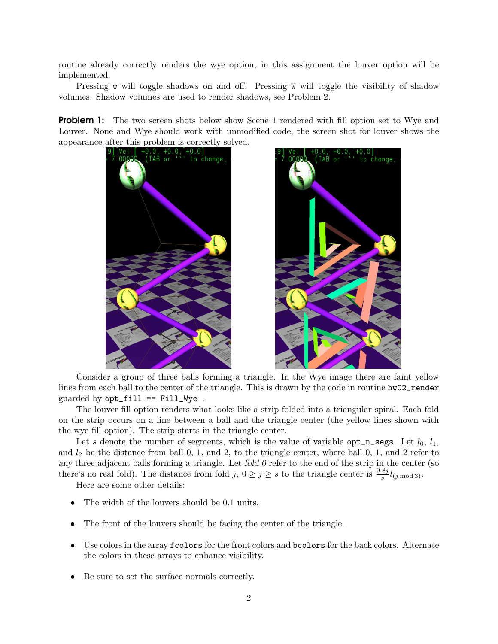routine already correctly renders the wye option, in this assignment the louver option will be implemented.

Pressing w will toggle shadows on and off. Pressing W will toggle the visibility of shadow volumes. Shadow volumes are used to render shadows, see Problem 2.

**Problem 1:** The two screen shots below show Scene 1 rendered with fill option set to Wye and Louver. None and Wye should work with unmodified code, the screen shot for louver shows the





Consider a group of three balls forming a triangle. In the Wye image there are faint yellow lines from each ball to the center of the triangle. This is drawn by the code in routine hw02\_render guarded by  $opt\_fill == Fill_Wye$ .

The louver fill option renders what looks like a strip folded into a triangular spiral. Each fold on the strip occurs on a line between a ball and the triangle center (the yellow lines shown with the wye fill option). The strip starts in the triangle center.

Let s denote the number of segments, which is the value of variable opt\_n\_segs. Let  $l_0, l_1$ , and  $l_2$  be the distance from ball 0, 1, and 2, to the triangle center, where ball 0, 1, and 2 refer to any three adjacent balls forming a triangle. Let fold  $0$  refer to the end of the strip in the center (so there's no real fold). The distance from fold  $j, 0 \ge j \ge s$  to the triangle center is  $\frac{0.8j}{s}l_{(j \mod 3)}$ .

Here are some other details:

- The width of the louvers should be 0.1 units.
- The front of the louvers should be facing the center of the triangle.
- Use colors in the array fcolors for the front colors and bcolors for the back colors. Alternate the colors in these arrays to enhance visibility.
- Be sure to set the surface normals correctly.